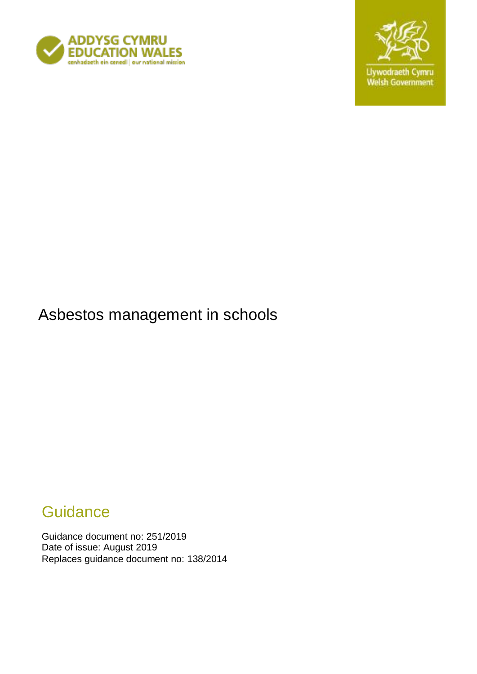



Asbestos management in schools

# **Guidance**

Guidance document no: 251/2019 Date of issue: August 2019 Replaces guidance document no: 138/2014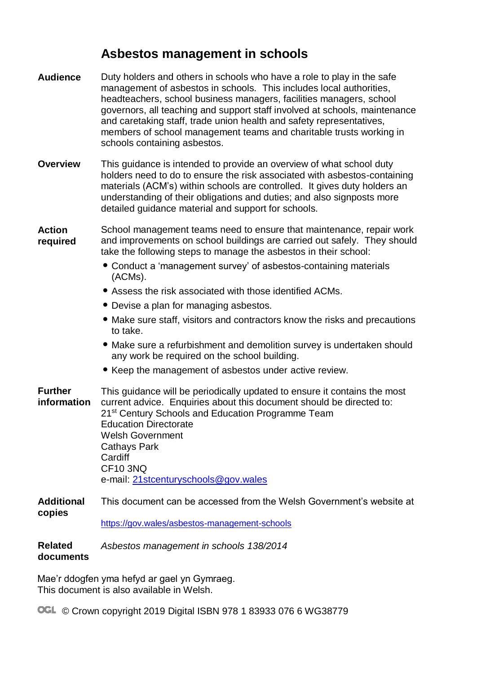## **Asbestos management in schools**

| <b>Audience</b>               | Duty holders and others in schools who have a role to play in the safe<br>management of asbestos in schools. This includes local authorities,<br>headteachers, school business managers, facilities managers, school<br>governors, all teaching and support staff involved at schools, maintenance<br>and caretaking staff, trade union health and safety representatives,<br>members of school management teams and charitable trusts working in<br>schools containing asbestos. |
|-------------------------------|-----------------------------------------------------------------------------------------------------------------------------------------------------------------------------------------------------------------------------------------------------------------------------------------------------------------------------------------------------------------------------------------------------------------------------------------------------------------------------------|
| <b>Overview</b>               | This guidance is intended to provide an overview of what school duty<br>holders need to do to ensure the risk associated with asbestos-containing<br>materials (ACM's) within schools are controlled. It gives duty holders an<br>understanding of their obligations and duties; and also signposts more<br>detailed guidance material and support for schools.                                                                                                                   |
| <b>Action</b><br>required     | School management teams need to ensure that maintenance, repair work<br>and improvements on school buildings are carried out safely. They should<br>take the following steps to manage the asbestos in their school:<br>• Conduct a 'management survey' of asbestos-containing materials<br>(ACMs).                                                                                                                                                                               |
|                               | • Assess the risk associated with those identified ACMs.                                                                                                                                                                                                                                                                                                                                                                                                                          |
|                               | • Devise a plan for managing asbestos.                                                                                                                                                                                                                                                                                                                                                                                                                                            |
|                               | • Make sure staff, visitors and contractors know the risks and precautions<br>to take.                                                                                                                                                                                                                                                                                                                                                                                            |
|                               | • Make sure a refurbishment and demolition survey is undertaken should<br>any work be required on the school building.                                                                                                                                                                                                                                                                                                                                                            |
|                               | • Keep the management of asbestos under active review.                                                                                                                                                                                                                                                                                                                                                                                                                            |
| <b>Further</b><br>information | This guidance will be periodically updated to ensure it contains the most<br>current advice. Enquiries about this document should be directed to:<br>21 <sup>st</sup> Century Schools and Education Programme Team<br><b>Education Directorate</b><br><b>Welsh Government</b><br><b>Cathays Park</b><br>Cardiff<br><b>CF10 3NQ</b>                                                                                                                                                |
|                               | e-mail: 21stcenturyschools@gov.wales                                                                                                                                                                                                                                                                                                                                                                                                                                              |
| <b>Additional</b><br>copies   | This document can be accessed from the Welsh Government's website at                                                                                                                                                                                                                                                                                                                                                                                                              |
|                               | https://gov.wales/asbestos-management-schools                                                                                                                                                                                                                                                                                                                                                                                                                                     |
| <b>Related</b><br>documents   | Asbestos management in schools 138/2014                                                                                                                                                                                                                                                                                                                                                                                                                                           |

Mae'r ddogfen yma hefyd ar gael yn Gymraeg. This document is also available in Welsh.

OGL © Crown copyright 2019 Digital ISBN 978 1 83933 076 6 WG38779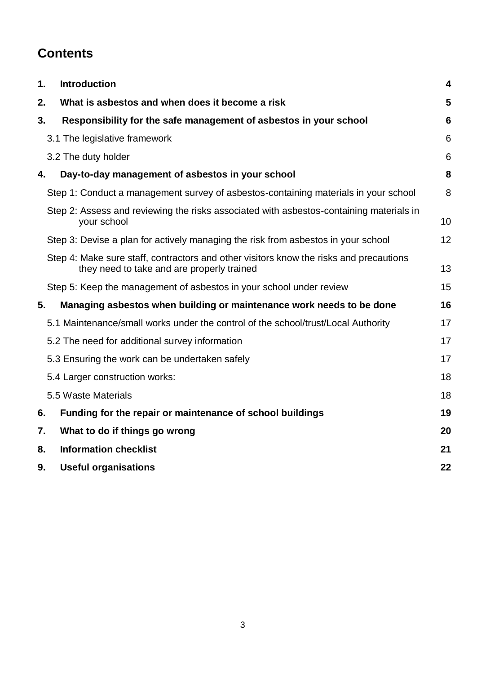## **Contents**

| 1. | <b>Introduction</b>                                                                                                                  | $\overline{\mathbf{4}}$ |
|----|--------------------------------------------------------------------------------------------------------------------------------------|-------------------------|
| 2. | What is asbestos and when does it become a risk                                                                                      | 5                       |
| 3. | Responsibility for the safe management of asbestos in your school                                                                    | 6                       |
|    | 3.1 The legislative framework                                                                                                        | 6                       |
|    | 3.2 The duty holder                                                                                                                  | 6                       |
| 4. | Day-to-day management of asbestos in your school                                                                                     | 8                       |
|    | Step 1: Conduct a management survey of asbestos-containing materials in your school                                                  | 8                       |
|    | Step 2: Assess and reviewing the risks associated with asbestos-containing materials in<br>your school                               | 10                      |
|    | Step 3: Devise a plan for actively managing the risk from asbestos in your school                                                    | 12                      |
|    | Step 4: Make sure staff, contractors and other visitors know the risks and precautions<br>they need to take and are properly trained | 13                      |
|    | Step 5: Keep the management of asbestos in your school under review                                                                  | 15                      |
| 5. | Managing asbestos when building or maintenance work needs to be done                                                                 | 16                      |
|    | 5.1 Maintenance/small works under the control of the school/trust/Local Authority                                                    | 17                      |
|    | 5.2 The need for additional survey information                                                                                       | 17                      |
|    | 5.3 Ensuring the work can be undertaken safely                                                                                       | 17                      |
|    | 5.4 Larger construction works:                                                                                                       | 18                      |
|    | 5.5 Waste Materials                                                                                                                  | 18                      |
| 6. | Funding for the repair or maintenance of school buildings                                                                            | 19                      |
| 7. | What to do if things go wrong                                                                                                        | 20                      |
| 8. | <b>Information checklist</b>                                                                                                         | 21                      |
| 9. | <b>Useful organisations</b>                                                                                                          | 22                      |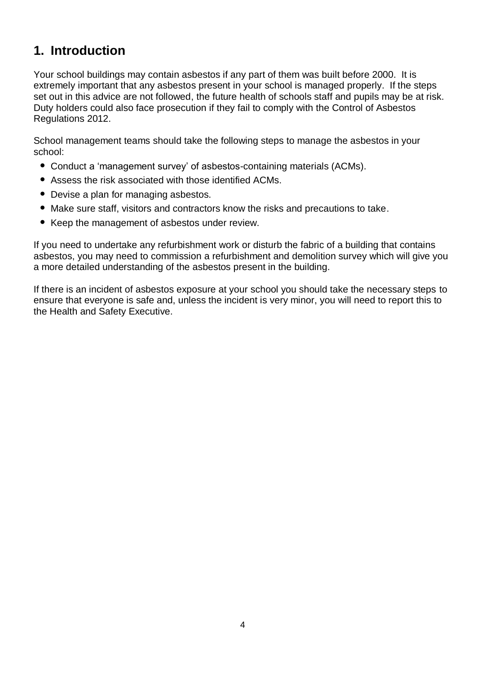### <span id="page-3-0"></span>**1. Introduction**

Your school buildings may contain asbestos if any part of them was built before 2000. It is extremely important that any asbestos present in your school is managed properly. If the steps set out in this advice are not followed, the future health of schools staff and pupils may be at risk. Duty holders could also face prosecution if they fail to comply with the Control of Asbestos Regulations 2012.

School management teams should take the following steps to manage the asbestos in your school:

- Conduct a 'management survey' of asbestos-containing materials (ACMs).
- Assess the risk associated with those identified ACMs.
- Devise a plan for managing asbestos.
- Make sure staff, visitors and contractors know the risks and precautions to take.
- Keep the management of asbestos under review.

If you need to undertake any refurbishment work or disturb the fabric of a building that contains asbestos, you may need to commission a refurbishment and demolition survey which will give you a more detailed understanding of the asbestos present in the building.

If there is an incident of asbestos exposure at your school you should take the necessary steps to ensure that everyone is safe and, unless the incident is very minor, you will need to report this to the Health and Safety Executive.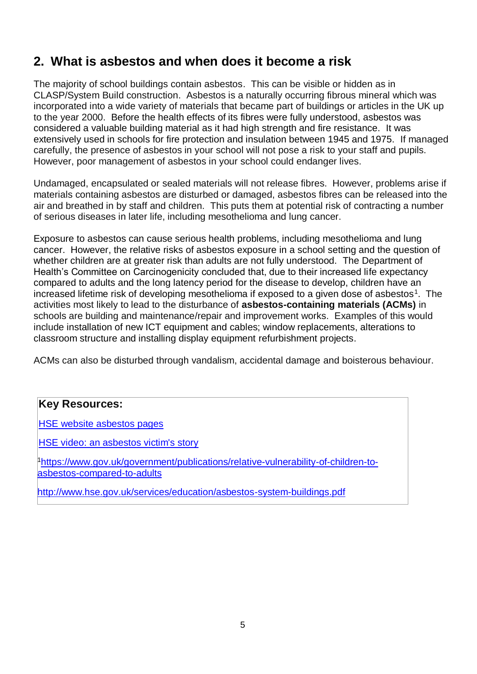### <span id="page-4-0"></span>**2. What is asbestos and when does it become a risk**

The majority of school buildings contain asbestos. This can be visible or hidden as in CLASP/System Build construction. Asbestos is a naturally occurring fibrous mineral which was incorporated into a wide variety of materials that became part of buildings or articles in the UK up to the year 2000. Before the health effects of its fibres were fully understood, asbestos was considered a valuable building material as it had high strength and fire resistance. It was extensively used in schools for fire protection and insulation between 1945 and 1975. If managed carefully, the presence of asbestos in your school will not pose a risk to your staff and pupils. However, poor management of asbestos in your school could endanger lives.

Undamaged, encapsulated or sealed materials will not release fibres. However, problems arise if materials containing asbestos are disturbed or damaged, asbestos fibres can be released into the air and breathed in by staff and children. This puts them at potential risk of contracting a number of serious diseases in later life, including mesothelioma and lung cancer.

Exposure to asbestos can cause serious health problems, including mesothelioma and lung cancer. However, the relative risks of asbestos exposure in a school setting and the question of whether children are at greater risk than adults are not fully understood. The Department of Health's Committee on Carcinogenicity concluded that, due to their increased life expectancy compared to adults and the long latency period for the disease to develop, children have an increased lifetime risk of developing mesothelioma if exposed to a given dose of asbestos<sup>1</sup>. The activities most likely to lead to the disturbance of **asbestos-containing materials (ACMs)** in schools are building and maintenance/repair and improvement works. Examples of this would include installation of new ICT equipment and cables; window replacements, alterations to classroom structure and installing display equipment refurbishment projects.

ACMs can also be disturbed through vandalism, accidental damage and boisterous behaviour.

#### **Key Resources:**

[HSE website asbestos pages](http://www.hse.gov.uk/asbestos/index.htm)

[HSE video: an asbestos](http://www.hse.gov.uk/asbestos/campaign/video.htm) [victim's story](http://www.hse.gov.uk/asbestos/campaign/video.htm)

1[https://www.gov.uk/government/publications/relative-vulnerability-of-children-to](https://www.gov.uk/government/publications/relative-vulnerability-of-children-to-asbestos-compared-to-adults)[asbestos-compared-to-adults](https://www.gov.uk/government/publications/relative-vulnerability-of-children-to-asbestos-compared-to-adults)

<http://www.hse.gov.uk/services/education/asbestos-system-buildings.pdf>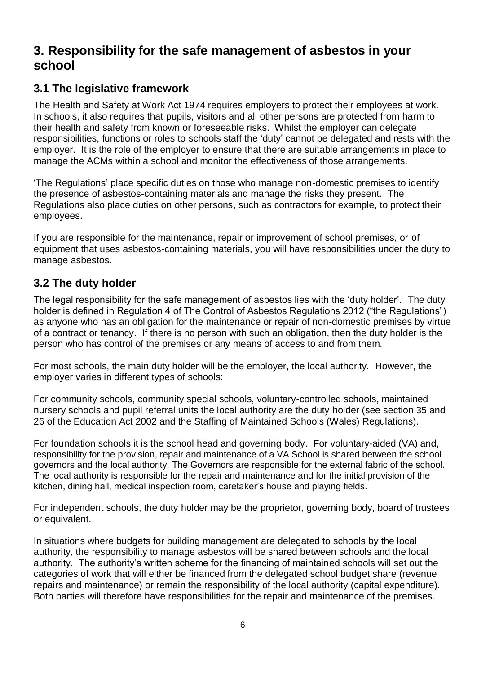### <span id="page-5-0"></span>**3. Responsibility for the safe management of asbestos in your school**

### <span id="page-5-1"></span>**3.1 The legislative framework**

The Health and Safety at Work Act 1974 requires employers to protect their employees at work. In schools, it also requires that pupils, visitors and all other persons are protected from harm to their health and safety from known or foreseeable risks. Whilst the employer can delegate responsibilities, functions or roles to schools staff the 'duty' cannot be delegated and rests with the employer. It is the role of the employer to ensure that there are suitable arrangements in place to manage the ACMs within a school and monitor the effectiveness of those arrangements.

'The Regulations' place specific duties on those who manage non-domestic premises to identify the presence of asbestos-containing materials and manage the risks they present. The Regulations also place duties on other persons, such as contractors for example, to protect their employees.

If you are responsible for the maintenance, repair or improvement of school premises, or of equipment that uses asbestos-containing materials, you will have responsibilities under the duty to manage asbestos.

### <span id="page-5-2"></span>**3.2 The duty holder**

The legal responsibility for the safe management of asbestos lies with the 'duty holder'. The duty holder is defined in Regulation 4 of The Control of Asbestos Regulations 2012 ("the Regulations") as anyone who has an obligation for the maintenance or repair of non-domestic premises by virtue of a contract or tenancy. If there is no person with such an obligation, then the duty holder is the person who has control of the premises or any means of access to and from them.

For most schools, the main duty holder will be the employer, the local authority. However, the employer varies in different types of schools:

For community schools, community special schools, voluntary-controlled schools, maintained nursery schools and pupil referral units the local authority are the duty holder (see section 35 and 26 of the Education Act 2002 and the Staffing of Maintained Schools (Wales) Regulations).

For foundation schools it is the school head and governing body. For voluntary-aided (VA) and, responsibility for the provision, repair and maintenance of a VA School is shared between the school governors and the local authority. The Governors are responsible for the external fabric of the school. The local authority is responsible for the repair and maintenance and for the initial provision of the kitchen, dining hall, medical inspection room, caretaker's house and playing fields.

For independent schools, the duty holder may be the proprietor, governing body, board of trustees or equivalent.

In situations where budgets for building management are delegated to schools by the local authority, the responsibility to manage asbestos will be shared between schools and the local authority. The authority's written scheme for the financing of maintained schools will set out the categories of work that will either be financed from the delegated school budget share (revenue repairs and maintenance) or remain the responsibility of the local authority (capital expenditure). Both parties will therefore have responsibilities for the repair and maintenance of the premises.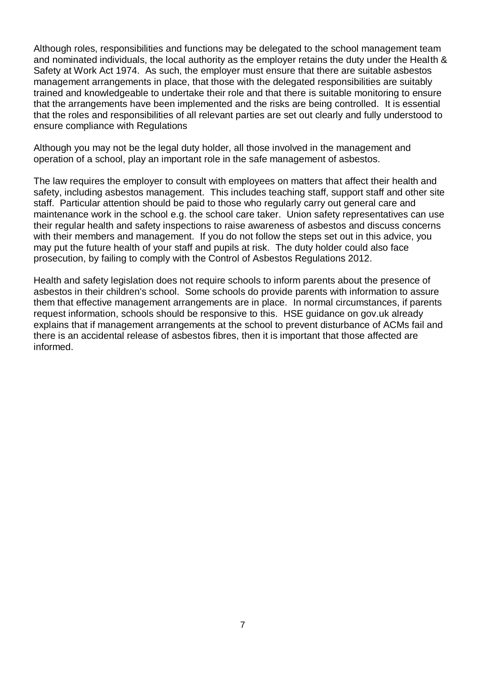Although roles, responsibilities and functions may be delegated to the school management team and nominated individuals, the local authority as the employer retains the duty under the Health & Safety at Work Act 1974. As such, the employer must ensure that there are suitable asbestos management arrangements in place, that those with the delegated responsibilities are suitably trained and knowledgeable to undertake their role and that there is suitable monitoring to ensure that the arrangements have been implemented and the risks are being controlled. It is essential that the roles and responsibilities of all relevant parties are set out clearly and fully understood to ensure compliance with Regulations

Although you may not be the legal duty holder, all those involved in the management and operation of a school, play an important role in the safe management of asbestos.

The law requires the employer to consult with employees on matters that affect their health and safety, including asbestos management. This includes teaching staff, support staff and other site staff. Particular attention should be paid to those who regularly carry out general care and maintenance work in the school e.g. the school care taker. Union safety representatives can use their regular health and safety inspections to raise awareness of asbestos and discuss concerns with their members and management. If you do not follow the steps set out in this advice, you may put the future health of your staff and pupils at risk. The duty holder could also face prosecution, by failing to comply with the Control of Asbestos Regulations 2012.

Health and safety legislation does not require schools to inform parents about the presence of asbestos in their children's school. Some schools do provide parents with information to assure them that effective management arrangements are in place. In normal circumstances, if parents request information, schools should be responsive to this. HSE guidance on gov.uk already explains that if management arrangements at the school to prevent disturbance of ACMs fail and there is an accidental release of asbestos fibres, then it is important that those affected are informed.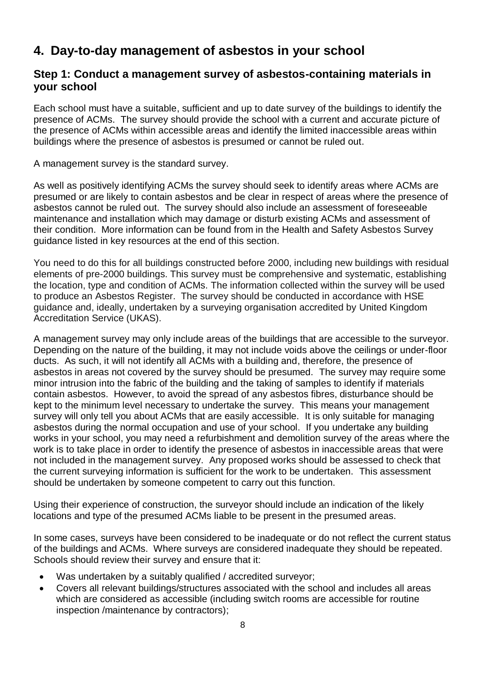### <span id="page-7-0"></span>**4. Day-to-day management of asbestos in your school**

#### <span id="page-7-1"></span>**Step 1: Conduct a management survey of asbestos-containing materials in your school**

Each school must have a suitable, sufficient and up to date survey of the buildings to identify the presence of ACMs. The survey should provide the school with a current and accurate picture of the presence of ACMs within accessible areas and identify the limited inaccessible areas within buildings where the presence of asbestos is presumed or cannot be ruled out.

A management survey is the standard survey.

As well as positively identifying ACMs the survey should seek to identify areas where ACMs are presumed or are likely to contain asbestos and be clear in respect of areas where the presence of asbestos cannot be ruled out. The survey should also include an assessment of foreseeable maintenance and installation which may damage or disturb existing ACMs and assessment of their condition. More information can be found from in the Health and Safety Asbestos Survey guidance listed in key resources at the end of this section.

You need to do this for all buildings constructed before 2000, including new buildings with residual elements of pre-2000 buildings. This survey must be comprehensive and systematic, establishing the location, type and condition of ACMs. The information collected within the survey will be used to produce an Asbestos Register. The survey should be conducted in accordance with HSE guidance and, ideally, undertaken by a surveying organisation accredited by United Kingdom Accreditation Service (UKAS).

A management survey may only include areas of the buildings that are accessible to the surveyor. Depending on the nature of the building, it may not include voids above the ceilings or under-floor ducts. As such, it will not identify all ACMs with a building and, therefore, the presence of asbestos in areas not covered by the survey should be presumed. The survey may require some minor intrusion into the fabric of the building and the taking of samples to identify if materials contain asbestos. However, to avoid the spread of any asbestos fibres, disturbance should be kept to the minimum level necessary to undertake the survey. This means your management survey will only tell you about ACMs that are easily accessible. It is only suitable for managing asbestos during the normal occupation and use of your school. If you undertake any building works in your school, you may need a refurbishment and demolition survey of the areas where the work is to take place in order to identify the presence of asbestos in inaccessible areas that were not included in the management survey. Any proposed works should be assessed to check that the current surveying information is sufficient for the work to be undertaken. This assessment should be undertaken by someone competent to carry out this function.

Using their experience of construction, the surveyor should include an indication of the likely locations and type of the presumed ACMs liable to be present in the presumed areas.

In some cases, surveys have been considered to be inadequate or do not reflect the current status of the buildings and ACMs. Where surveys are considered inadequate they should be repeated. Schools should review their survey and ensure that it:

- Was undertaken by a suitably qualified / accredited surveyor;
- Covers all relevant buildings/structures associated with the school and includes all areas which are considered as accessible (including switch rooms are accessible for routine inspection /maintenance by contractors);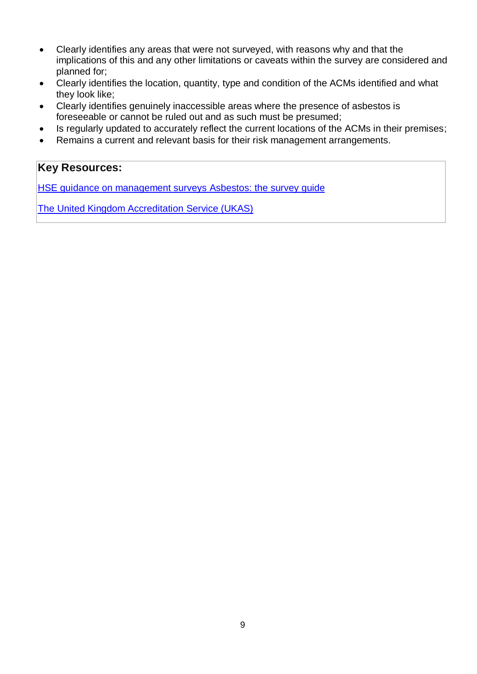- Clearly identifies any areas that were not surveyed, with reasons why and that the implications of this and any other limitations or caveats within the survey are considered and planned for;
- Clearly identifies the location, quantity, type and condition of the ACMs identified and what they look like;
- Clearly identifies genuinely inaccessible areas where the presence of asbestos is foreseeable or cannot be ruled out and as such must be presumed;
- Is regularly updated to accurately reflect the current locations of the ACMs in their premises;
- Remains a current and relevant basis for their risk management arrangements.

### **Key Resources:**

[HSE guidance on management surveys](http://www.hse.gov.uk/asbestos/managing/index.htm) [Asbestos: the survey guide](http://www.hse.gov.uk/pUbns/priced/hsg264.pdf)

[The United Kingdom Accreditation](http://www.ukas.com/default.asp) Service (UKAS)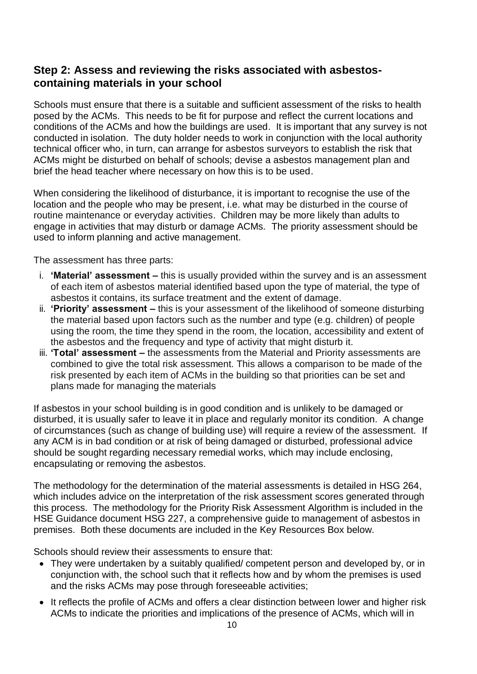#### <span id="page-9-0"></span>**Step 2: Assess and reviewing the risks associated with asbestoscontaining materials in your school**

Schools must ensure that there is a suitable and sufficient assessment of the risks to health posed by the ACMs. This needs to be fit for purpose and reflect the current locations and conditions of the ACMs and how the buildings are used. It is important that any survey is not conducted in isolation. The duty holder needs to work in conjunction with the local authority technical officer who, in turn, can arrange for asbestos surveyors to establish the risk that ACMs might be disturbed on behalf of schools; devise a asbestos management plan and brief the head teacher where necessary on how this is to be used.

When considering the likelihood of disturbance, it is important to recognise the use of the location and the people who may be present, i.e. what may be disturbed in the course of routine maintenance or everyday activities. Children may be more likely than adults to engage in activities that may disturb or damage ACMs. The priority assessment should be used to inform planning and active management.

The assessment has three parts:

- i. **'Material' assessment –** this is usually provided within the survey and is an assessment of each item of asbestos material identified based upon the type of material, the type of asbestos it contains, its surface treatment and the extent of damage.
- ii. **'Priority' assessment –** this is your assessment of the likelihood of someone disturbing the material based upon factors such as the number and type (e.g. children) of people using the room, the time they spend in the room, the location, accessibility and extent of the asbestos and the frequency and type of activity that might disturb it.
- iii. **'Total' assessment –** the assessments from the Material and Priority assessments are combined to give the total risk assessment. This allows a comparison to be made of the risk presented by each item of ACMs in the building so that priorities can be set and plans made for managing the materials

If asbestos in your school building is in good condition and is unlikely to be damaged or disturbed, it is usually safer to leave it in place and regularly monitor its condition. A change of circumstances (such as change of building use) will require a review of the assessment. If any ACM is in bad condition or at risk of being damaged or disturbed, professional advice should be sought regarding necessary remedial works, which may include enclosing, encapsulating or removing the asbestos.

The methodology for the determination of the material assessments is detailed in HSG 264, which includes advice on the interpretation of the risk assessment scores generated through this process. The methodology for the Priority Risk Assessment Algorithm is included in the HSE Guidance document HSG 227, a comprehensive guide to management of asbestos in premises. Both these documents are included in the Key Resources Box below.

Schools should review their assessments to ensure that:

- They were undertaken by a suitably qualified/ competent person and developed by, or in conjunction with, the school such that it reflects how and by whom the premises is used and the risks ACMs may pose through foreseeable activities;
- It reflects the profile of ACMs and offers a clear distinction between lower and higher risk ACMs to indicate the priorities and implications of the presence of ACMs, which will in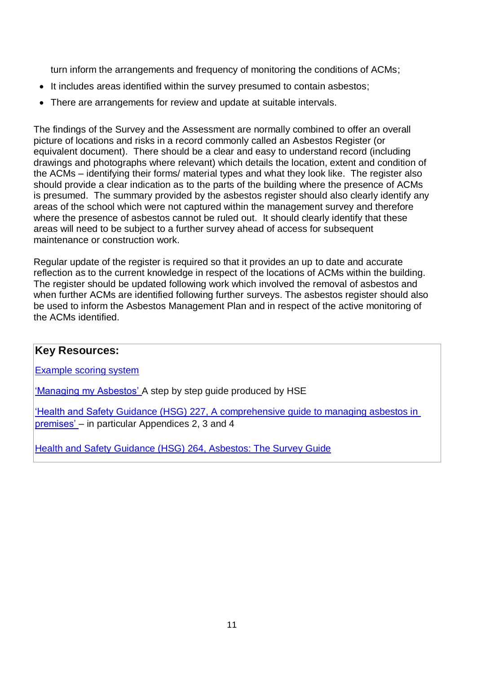turn inform the arrangements and frequency of monitoring the conditions of ACMs;

- It includes areas identified within the survey presumed to contain asbestos;
- There are arrangements for review and update at suitable intervals.

The findings of the Survey and the Assessment are normally combined to offer an overall picture of locations and risks in a record commonly called an Asbestos Register (or equivalent document). There should be a clear and easy to understand record (including drawings and photographs where relevant) which details the location, extent and condition of the ACMs – identifying their forms/ material types and what they look like. The register also should provide a clear indication as to the parts of the building where the presence of ACMs is presumed. The summary provided by the asbestos register should also clearly identify any areas of the school which were not captured within the management survey and therefore where the presence of asbestos cannot be ruled out. It should clearly identify that these areas will need to be subject to a further survey ahead of access for subsequent maintenance or construction work.

Regular update of the register is required so that it provides an up to date and accurate reflection as to the current knowledge in respect of the locations of ACMs within the building. The register should be updated following work which involved the removal of asbestos and when further ACMs are identified following further surveys. The asbestos register should also be used to inform the Asbestos Management Plan and in respect of the active monitoring of the ACMs identified.

#### **Key Resources:**

[Example scoring system](http://www.hse.gov.uk/asbestos/assets/docs/materials-priority-scoring.pdf)

['Managing my Asbestos'](http://www.hse.gov.uk/asbestos/managing/intro.htm) A step by step guide produced by HSE

['Health and Safety Guidance \(HSG\) 227, A](http://www.hse.gov.uk/pubns/priced/hsg227.pdf) [comprehensive guide to managing asbestos in](http://www.hse.gov.uk/pubns/priced/hsg227.pdf)  [premises'](http://www.hse.gov.uk/pubns/priced/hsg227.pdf) – in particular Appendices 2, 3 and 4

[Health and Safety Guidance \(HSG\) 264, Asbestos: The Survey Guide](http://www.hse.gov.uk/pubns/books/hsg264.htm)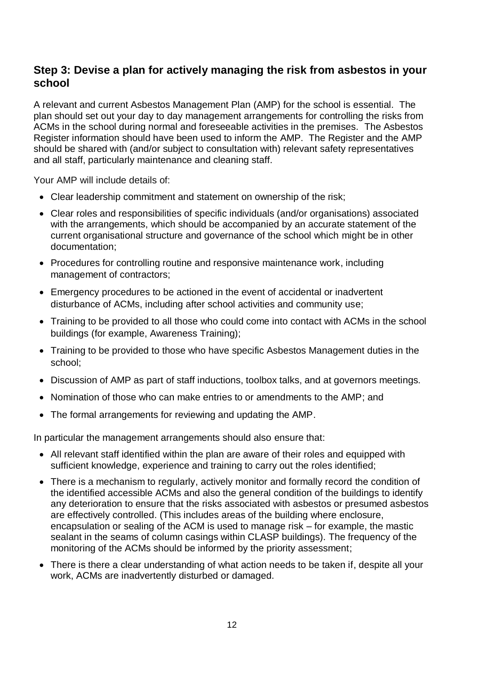#### <span id="page-11-0"></span>**Step 3: Devise a plan for actively managing the risk from asbestos in your school**

A relevant and current Asbestos Management Plan (AMP) for the school is essential. The plan should set out your day to day management arrangements for controlling the risks from ACMs in the school during normal and foreseeable activities in the premises. The Asbestos Register information should have been used to inform the AMP. The Register and the AMP should be shared with (and/or subject to consultation with) relevant safety representatives and all staff, particularly maintenance and cleaning staff.

Your AMP will include details of:

- Clear leadership commitment and statement on ownership of the risk;
- Clear roles and responsibilities of specific individuals (and/or organisations) associated with the arrangements, which should be accompanied by an accurate statement of the current organisational structure and governance of the school which might be in other documentation;
- Procedures for controlling routine and responsive maintenance work, including management of contractors;
- Emergency procedures to be actioned in the event of accidental or inadvertent disturbance of ACMs, including after school activities and community use;
- Training to be provided to all those who could come into contact with ACMs in the school buildings (for example, Awareness Training);
- Training to be provided to those who have specific Asbestos Management duties in the school;
- Discussion of AMP as part of staff inductions, toolbox talks, and at governors meetings.
- Nomination of those who can make entries to or amendments to the AMP; and
- The formal arrangements for reviewing and updating the AMP.

In particular the management arrangements should also ensure that:

- All relevant staff identified within the plan are aware of their roles and equipped with sufficient knowledge, experience and training to carry out the roles identified;
- There is a mechanism to regularly, actively monitor and formally record the condition of the identified accessible ACMs and also the general condition of the buildings to identify any deterioration to ensure that the risks associated with asbestos or presumed asbestos are effectively controlled. (This includes areas of the building where enclosure, encapsulation or sealing of the ACM is used to manage risk – for example, the mastic sealant in the seams of column casings within CLASP buildings). The frequency of the monitoring of the ACMs should be informed by the priority assessment;
- There is there a clear understanding of what action needs to be taken if, despite all your work, ACMs are inadvertently disturbed or damaged.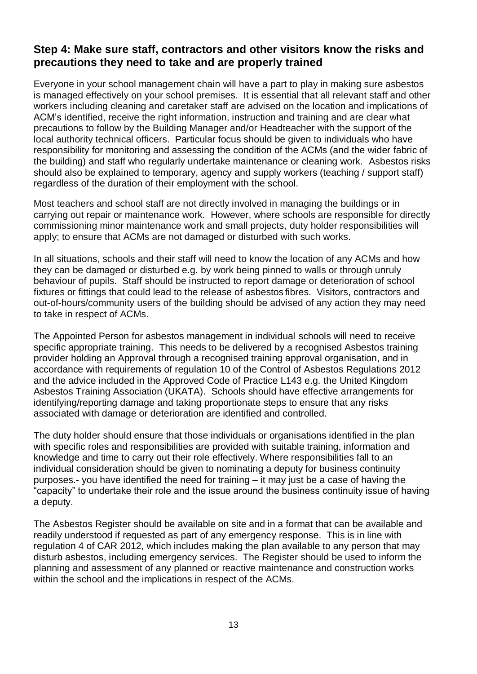### <span id="page-12-0"></span>**Step 4: Make sure staff, contractors and other visitors know the risks and precautions they need to take and are properly trained**

Everyone in your school management chain will have a part to play in making sure asbestos is managed effectively on your school premises. It is essential that all relevant staff and other workers including cleaning and caretaker staff are advised on the location and implications of ACM's identified, receive the right information, instruction and training and are clear what precautions to follow by the Building Manager and/or Headteacher with the support of the local authority technical officers. Particular focus should be given to individuals who have responsibility for monitoring and assessing the condition of the ACMs (and the wider fabric of the building) and staff who regularly undertake maintenance or cleaning work. Asbestos risks should also be explained to temporary, agency and supply workers (teaching / support staff) regardless of the duration of their employment with the school.

Most teachers and school staff are not directly involved in managing the buildings or in carrying out repair or maintenance work. However, where schools are responsible for directly commissioning minor maintenance work and small projects, duty holder responsibilities will apply; to ensure that ACMs are not damaged or disturbed with such works.

In all situations, schools and their staff will need to know the location of any ACMs and how they can be damaged or disturbed e.g. by work being pinned to walls or through unruly behaviour of pupils. Staff should be instructed to report damage or deterioration of school fixtures or fittings that could lead to the release of asbestos fibres. Visitors, contractors and out-of-hours/community users of the building should be advised of any action they may need to take in respect of ACMs.

The Appointed Person for asbestos management in individual schools will need to receive specific appropriate training. This needs to be delivered by a recognised Asbestos training provider holding an Approval through a recognised training approval organisation, and in accordance with requirements of regulation 10 of the Control of Asbestos Regulations 2012 and the advice included in the Approved Code of Practice L143 e.g. the United Kingdom Asbestos Training Association (UKATA). Schools should have effective arrangements for identifying/reporting damage and taking proportionate steps to ensure that any risks associated with damage or deterioration are identified and controlled.

The duty holder should ensure that those individuals or organisations identified in the plan with specific roles and responsibilities are provided with suitable training, information and knowledge and time to carry out their role effectively. Where responsibilities fall to an individual consideration should be given to nominating a deputy for business continuity purposes.- you have identified the need for training – it may just be a case of having the "capacity" to undertake their role and the issue around the business continuity issue of having a deputy.

The Asbestos Register should be available on site and in a format that can be available and readily understood if requested as part of any emergency response. This is in line with regulation 4 of CAR 2012, which includes making the plan available to any person that may disturb asbestos, including emergency services. The Register should be used to inform the planning and assessment of any planned or reactive maintenance and construction works within the school and the implications in respect of the ACMs.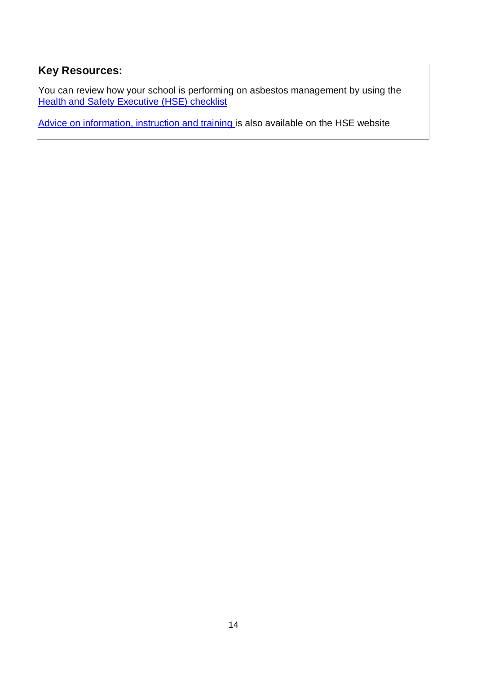### **Key Resources:**

You can review how your school is performing on asbestos management by using the [Health and Safety Executive \(HSE\) checklist](http://www.hse.gov.uk/services/education/asbestos-checklist.pdf)

[Advice on information, instruction and training i](http://www.hse.gov.uk/asbestos/training.htm)s also available on the HSE website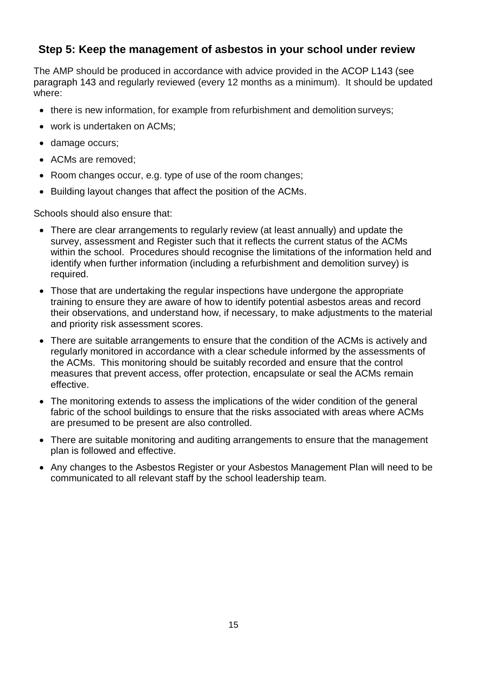### <span id="page-14-0"></span>**Step 5: Keep the management of asbestos in your school under review**

The AMP should be produced in accordance with advice provided in the ACOP L143 (see paragraph 143 and regularly reviewed (every 12 months as a minimum). It should be updated where:

- there is new information, for example from refurbishment and demolition surveys;
- work is undertaken on ACMs;
- damage occurs;
- ACMs are removed:
- Room changes occur, e.g. type of use of the room changes;
- Building layout changes that affect the position of the ACMs.

Schools should also ensure that:

- There are clear arrangements to regularly review (at least annually) and update the survey, assessment and Register such that it reflects the current status of the ACMs within the school. Procedures should recognise the limitations of the information held and identify when further information (including a refurbishment and demolition survey) is required.
- Those that are undertaking the regular inspections have undergone the appropriate training to ensure they are aware of how to identify potential asbestos areas and record their observations, and understand how, if necessary, to make adjustments to the material and priority risk assessment scores.
- There are suitable arrangements to ensure that the condition of the ACMs is actively and regularly monitored in accordance with a clear schedule informed by the assessments of the ACMs. This monitoring should be suitably recorded and ensure that the control measures that prevent access, offer protection, encapsulate or seal the ACMs remain effective.
- The monitoring extends to assess the implications of the wider condition of the general fabric of the school buildings to ensure that the risks associated with areas where ACMs are presumed to be present are also controlled.
- There are suitable monitoring and auditing arrangements to ensure that the management plan is followed and effective.
- Any changes to the Asbestos Register or your Asbestos Management Plan will need to be communicated to all relevant staff by the school leadership team.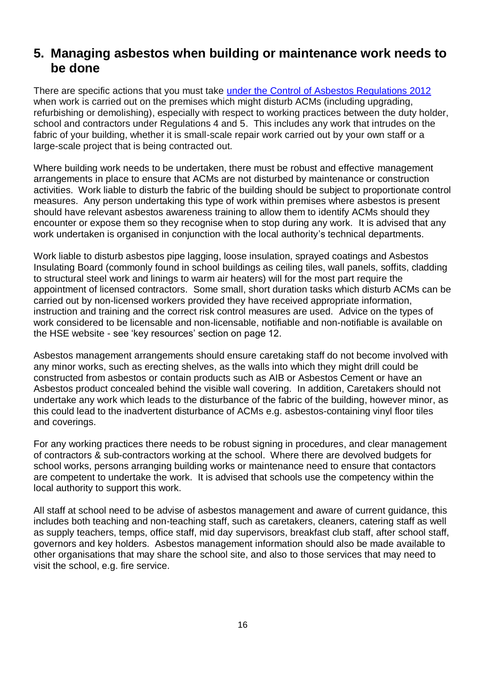### <span id="page-15-0"></span>**5. Managing asbestos when building or maintenance work needs to be done**

There are specific actions that you must take [under the Control of Asbestos Regulations 2012](http://www.hse.gov.uk/services/education/asbestos.htm) when work is carried out on the premises which might disturb ACMs (including upgrading, refurbishing or demolishing), especially with respect to working practices between the duty holder, school and contractors under Regulations 4 and 5. This includes any work that intrudes on the fabric of your building, whether it is small-scale repair work carried out by your own staff or a large-scale project that is being contracted out.

Where building work needs to be undertaken, there must be robust and effective management arrangements in place to ensure that ACMs are not disturbed by maintenance or construction activities. Work liable to disturb the fabric of the building should be subject to proportionate control measures. Any person undertaking this type of work within premises where asbestos is present should have relevant asbestos awareness training to allow them to identify ACMs should they encounter or expose them so they recognise when to stop during any work. It is advised that any work undertaken is organised in conjunction with the local authority's technical departments.

Work liable to disturb asbestos pipe lagging, loose insulation, sprayed coatings and Asbestos Insulating Board (commonly found in school buildings as ceiling tiles, wall panels, soffits, cladding to structural steel work and linings to warm air heaters) will for the most part require the appointment of licensed contractors. Some small, short duration tasks which disturb ACMs can be carried out by non-licensed workers provided they have received appropriate information, instruction and training and the correct risk control measures are used. Advice on the types of work considered to be licensable and non-licensable, notifiable and non-notifiable is available on the HSE website - see 'key resources' section on page 12.

Asbestos management arrangements should ensure caretaking staff do not become involved with any minor works, such as erecting shelves, as the walls into which they might drill could be constructed from asbestos or contain products such as AIB or Asbestos Cement or have an Asbestos product concealed behind the visible wall covering. In addition, Caretakers should not undertake any work which leads to the disturbance of the fabric of the building, however minor, as this could lead to the inadvertent disturbance of ACMs e.g. asbestos-containing vinyl floor tiles and coverings.

For any working practices there needs to be robust signing in procedures, and clear management of contractors & sub-contractors working at the school. Where there are devolved budgets for school works, persons arranging building works or maintenance need to ensure that contactors are competent to undertake the work. It is advised that schools use the competency within the local authority to support this work.

All staff at school need to be advise of asbestos management and aware of current guidance, this includes both teaching and non-teaching staff, such as caretakers, cleaners, catering staff as well as supply teachers, temps, office staff, mid day supervisors, breakfast club staff, after school staff, governors and key holders. Asbestos management information should also be made available to other organisations that may share the school site, and also to those services that may need to visit the school, e.g. fire service.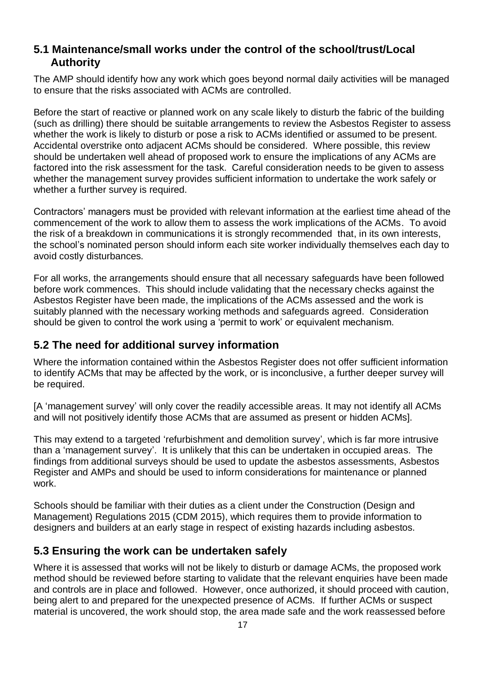#### <span id="page-16-0"></span>**5.1 Maintenance/small works under the control of the school/trust/Local Authority**

The AMP should identify how any work which goes beyond normal daily activities will be managed to ensure that the risks associated with ACMs are controlled.

Before the start of reactive or planned work on any scale likely to disturb the fabric of the building (such as drilling) there should be suitable arrangements to review the Asbestos Register to assess whether the work is likely to disturb or pose a risk to ACMs identified or assumed to be present. Accidental overstrike onto adjacent ACMs should be considered. Where possible, this review should be undertaken well ahead of proposed work to ensure the implications of any ACMs are factored into the risk assessment for the task. Careful consideration needs to be given to assess whether the management survey provides sufficient information to undertake the work safely or whether a further survey is required.

Contractors' managers must be provided with relevant information at the earliest time ahead of the commencement of the work to allow them to assess the work implications of the ACMs. To avoid the risk of a breakdown in communications it is strongly recommended that, in its own interests, the school's nominated person should inform each site worker individually themselves each day to avoid costly disturbances.

For all works, the arrangements should ensure that all necessary safeguards have been followed before work commences. This should include validating that the necessary checks against the Asbestos Register have been made, the implications of the ACMs assessed and the work is suitably planned with the necessary working methods and safeguards agreed. Consideration should be given to control the work using a 'permit to work' or equivalent mechanism.

### <span id="page-16-1"></span>**5.2 The need for additional survey information**

Where the information contained within the Asbestos Register does not offer sufficient information to identify ACMs that may be affected by the work, or is inconclusive, a further deeper survey will be required.

[A 'management survey' will only cover the readily accessible areas. It may not identify all ACMs and will not positively identify those ACMs that are assumed as present or hidden ACMs].

This may extend to a targeted 'refurbishment and demolition survey', which is far more intrusive than a 'management survey'. It is unlikely that this can be undertaken in occupied areas. The findings from additional surveys should be used to update the asbestos assessments, Asbestos Register and AMPs and should be used to inform considerations for maintenance or planned work.

Schools should be familiar with their duties as a client under the Construction (Design and Management) Regulations 2015 (CDM 2015), which requires them to provide information to designers and builders at an early stage in respect of existing hazards including asbestos.

### <span id="page-16-2"></span>**5.3 Ensuring the work can be undertaken safely**

Where it is assessed that works will not be likely to disturb or damage ACMs, the proposed work method should be reviewed before starting to validate that the relevant enquiries have been made and controls are in place and followed. However, once authorized, it should proceed with caution, being alert to and prepared for the unexpected presence of ACMs. If further ACMs or suspect material is uncovered, the work should stop, the area made safe and the work reassessed before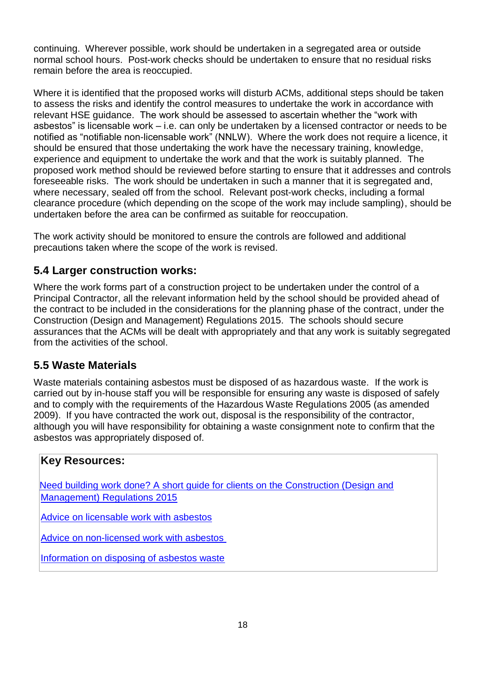continuing. Wherever possible, work should be undertaken in a segregated area or outside normal school hours. Post-work checks should be undertaken to ensure that no residual risks remain before the area is reoccupied.

Where it is identified that the proposed works will disturb ACMs, additional steps should be taken to assess the risks and identify the control measures to undertake the work in accordance with relevant HSE guidance. The work should be assessed to ascertain whether the "work with asbestos" is licensable work – i.e. can only be undertaken by a licensed contractor or needs to be notified as "notifiable non-licensable work" (NNLW). Where the work does not require a licence, it should be ensured that those undertaking the work have the necessary training, knowledge, experience and equipment to undertake the work and that the work is suitably planned. The proposed work method should be reviewed before starting to ensure that it addresses and controls foreseeable risks. The work should be undertaken in such a manner that it is segregated and, where necessary, sealed off from the school. Relevant post-work checks, including a formal clearance procedure (which depending on the scope of the work may include sampling), should be undertaken before the area can be confirmed as suitable for reoccupation.

The work activity should be monitored to ensure the controls are followed and additional precautions taken where the scope of the work is revised.

### <span id="page-17-0"></span>**5.4 Larger construction works:**

Where the work forms part of a construction project to be undertaken under the control of a Principal Contractor, all the relevant information held by the school should be provided ahead of the contract to be included in the considerations for the planning phase of the contract, under the Construction (Design and Management) Regulations 2015. The schools should secure assurances that the ACMs will be dealt with appropriately and that any work is suitably segregated from the activities of the school.

### <span id="page-17-1"></span>**5.5 Waste Materials**

Waste materials containing asbestos must be disposed of as hazardous waste. If the work is carried out by in-house staff you will be responsible for ensuring any waste is disposed of safely and to comply with the requirements of the Hazardous Waste Regulations 2005 (as amended 2009). If you have contracted the work out, disposal is the responsibility of the contractor, although you will have responsibility for obtaining a waste consignment note to confirm that the asbestos was appropriately disposed of.

### **Key Resources:**

[Need building work done? A short guide for clients on the Construction \(Design and](http://www.hse.gov.uk/pubns/indg411.htm) [Management\) Regulations 2015](http://www.hse.gov.uk/pubns/indg411.htm)

[Advice on licensable work with asbestos](http://www.hse.gov.uk/asbestos/licensing/licensed-contractor.htm)

[Advice on non-licensed work with asbestos](http://www.hse.gov.uk/asbestos/licensing/non-licensed-work.htm)

[Information on disposing of asbestos waste](http://www.hse.gov.uk/pubns/guidance/em9.pdf)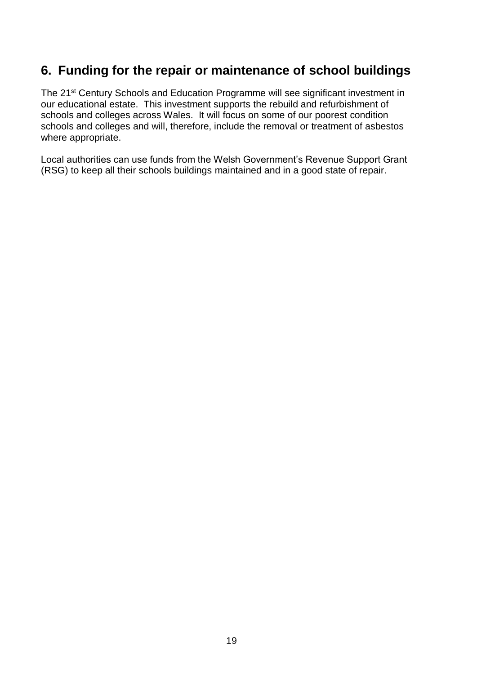### <span id="page-18-0"></span>**6. Funding for the repair or maintenance of school buildings**

The 21st Century Schools and Education Programme will see significant investment in our educational estate. This investment supports the rebuild and refurbishment of schools and colleges across Wales. It will focus on some of our poorest condition schools and colleges and will, therefore, include the removal or treatment of asbestos where appropriate.

Local authorities can use funds from the Welsh Government's Revenue Support Grant (RSG) to keep all their schools buildings maintained and in a good state of repair.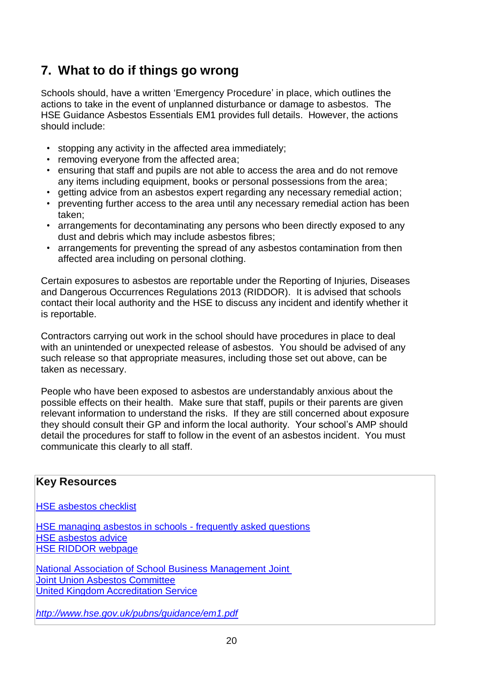### <span id="page-19-0"></span>**7. What to do if things go wrong**

Schools should, have a written 'Emergency Procedure' in place, which outlines the actions to take in the event of unplanned disturbance or damage to asbestos. The HSE Guidance Asbestos Essentials EM1 provides full details. However, the actions should include:

- stopping any activity in the affected area immediately;
- removing everyone from the affected area;
- ensuring that staff and pupils are not able to access the area and do not remove any items including equipment, books or personal possessions from the area;
- detting advice from an asbestos expert regarding any necessary remedial action:
- preventing further access to the area until any necessary remedial action has been taken;
- arrangements for decontaminating any persons who been directly exposed to any dust and debris which may include asbestos fibres;
- arrangements for preventing the spread of any asbestos contamination from then affected area including on personal clothing.

Certain exposures to asbestos are reportable under the Reporting of Injuries, Diseases and Dangerous Occurrences Regulations 2013 (RIDDOR). It is advised that schools contact their local authority and the HSE to discuss any incident and identify whether it is reportable.

Contractors carrying out work in the school should have procedures in place to deal with an unintended or unexpected release of asbestos. You should be advised of any such release so that appropriate measures, including those set out above, can be taken as necessary.

People who have been exposed to asbestos are understandably anxious about the possible effects on their health. Make sure that staff, pupils or their parents are given relevant information to understand the risks. If they are still concerned about exposure they should consult their GP and inform the local authority. Your school's AMP should detail the procedures for staff to follow in the event of an asbestos incident. You must communicate this clearly to all staff.

# **Key Resources** [HSE asbestos checklist](http://www.hse.gov.uk/services/education/asbestos-checklist.pdf) [HSE managing asbestos in schools -](http://www.hse.gov.uk/services/education/asbestos-faqs.htm) frequently asked questions [HSE asbestos advice](http://www.hse.gov.uk/pubns/guidance/aseries.htm) [HSE RIDDOR webpage](http://www.hse.gov.uk/riddor/) [National Association of School Business Management](http://www.nasbm.co.uk/) Joint Joint Union Asbestos Committee [United Kingdom Accreditation Service](http://www.ukas.com/) *<http://www.hse.gov.uk/pubns/guidance/em1.pdf>*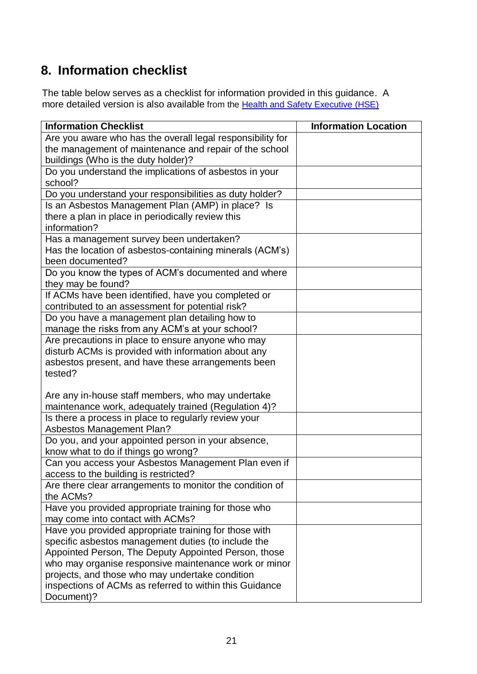## <span id="page-20-0"></span>**8. Information checklist**

The table below serves as a checklist for information provided in this guidance. A more detailed version is also available from the [Health and Safety Executive \(HSE\)](http://www.hse.gov.uk/services/education/asbestos-checklist.pdf)

| <b>Information Checklist</b>                                                                              | <b>Information Location</b> |
|-----------------------------------------------------------------------------------------------------------|-----------------------------|
| Are you aware who has the overall legal responsibility for                                                |                             |
| the management of maintenance and repair of the school                                                    |                             |
| buildings (Who is the duty holder)?                                                                       |                             |
| Do you understand the implications of asbestos in your                                                    |                             |
| school?                                                                                                   |                             |
| Do you understand your responsibilities as duty holder?                                                   |                             |
| Is an Asbestos Management Plan (AMP) in place? Is                                                         |                             |
| there a plan in place in periodically review this                                                         |                             |
| information?                                                                                              |                             |
| Has a management survey been undertaken?                                                                  |                             |
| Has the location of asbestos-containing minerals (ACM's)                                                  |                             |
| been documented?                                                                                          |                             |
| Do you know the types of ACM's documented and where                                                       |                             |
| they may be found?                                                                                        |                             |
| If ACMs have been identified, have you completed or                                                       |                             |
| contributed to an assessment for potential risk?                                                          |                             |
| Do you have a management plan detailing how to                                                            |                             |
| manage the risks from any ACM's at your school?                                                           |                             |
| Are precautions in place to ensure anyone who may                                                         |                             |
| disturb ACMs is provided with information about any<br>asbestos present, and have these arrangements been |                             |
| tested?                                                                                                   |                             |
|                                                                                                           |                             |
| Are any in-house staff members, who may undertake                                                         |                             |
| maintenance work, adequately trained (Regulation 4)?                                                      |                             |
| Is there a process in place to regularly review your                                                      |                             |
| <b>Asbestos Management Plan?</b>                                                                          |                             |
| Do you, and your appointed person in your absence,                                                        |                             |
| know what to do if things go wrong?                                                                       |                             |
| Can you access your Asbestos Management Plan even if                                                      |                             |
| access to the building is restricted?                                                                     |                             |
| Are there clear arrangements to monitor the condition of                                                  |                             |
| the ACMs?                                                                                                 |                             |
| Have you provided appropriate training for those who                                                      |                             |
| may come into contact with ACMs?                                                                          |                             |
| Have you provided appropriate training for those with                                                     |                             |
| specific asbestos management duties (to include the                                                       |                             |
| Appointed Person, The Deputy Appointed Person, those                                                      |                             |
| who may organise responsive maintenance work or minor                                                     |                             |
| projects, and those who may undertake condition                                                           |                             |
| inspections of ACMs as referred to within this Guidance                                                   |                             |
| Document)?                                                                                                |                             |